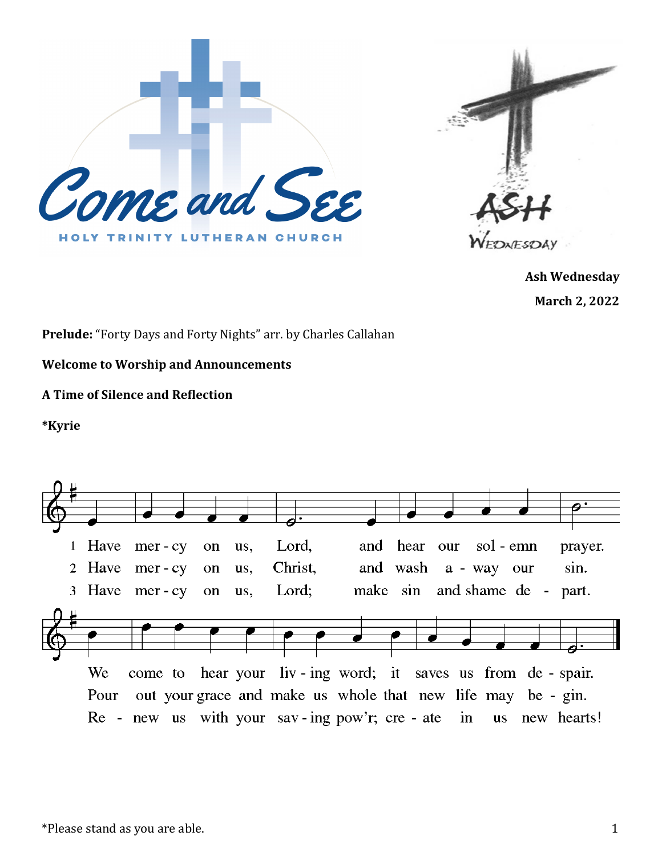



**Ash Wednesday March 2, 2022**

**Prelude:** "Forty Days and Forty Nights" arr. by Charles Callahan

**Welcome to Worship and Announcements**

## **A Time of Silence and Reflection**

**\*Kyrie**

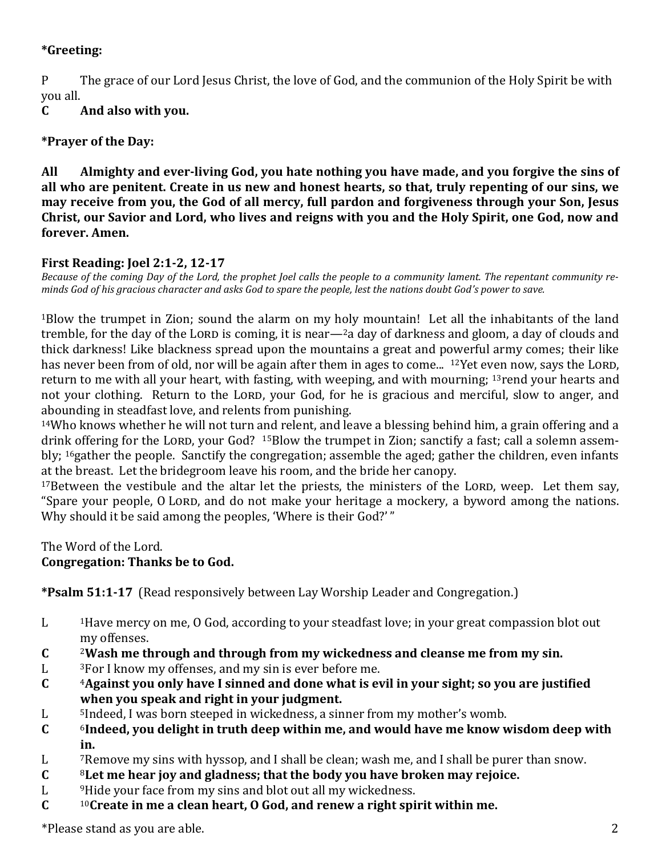## **\*Greeting:**

P The grace of our Lord Jesus Christ, the love of God, and the communion of the Holy Spirit be with you all.

**C And also with you.**

## **\*Prayer of the Day:**

**All Almighty and ever-living God, you hate nothing you have made, and you forgive the sins of all who are penitent. Create in us new and honest hearts, so that, truly repenting of our sins, we may receive from you, the God of all mercy, full pardon and forgiveness through your Son, Jesus Christ, our Savior and Lord, who lives and reigns with you and the Holy Spirit, one God, now and forever. Amen.**

## **First Reading: Joel 2:1-2, 12-17**

*Because of the coming Day of the Lord, the prophet Joel calls the people to a community lament. The repentant community reminds God of his gracious character and asks God to spare the people, lest the nations doubt God's power to save.*

<sup>1</sup>Blow the trumpet in Zion; sound the alarm on my holy mountain! Let all the inhabitants of the land tremble, for the day of the Lorp is coming, it is near— $2a$  day of darkness and gloom, a day of clouds and thick darkness! Like blackness spread upon the mountains a great and powerful army comes; their like has never been from of old, nor will be again after them in ages to come...  $12$  Yet even now, says the LORD, return to me with all your heart, with fasting, with weeping, and with mourning; <sup>13</sup>rend your hearts and not your clothing. Return to the LORD, your God, for he is gracious and merciful, slow to anger, and abounding in steadfast love, and relents from punishing.

<sup>14</sup>Who knows whether he will not turn and relent, and leave a blessing behind him, a grain offering and a drink offering for the LORD, your God? <sup>15</sup>Blow the trumpet in Zion; sanctify a fast; call a solemn assembly; 16gather the people. Sanctify the congregation; assemble the aged; gather the children, even infants at the breast. Let the bridegroom leave his room, and the bride her canopy.

 $17$ Between the vestibule and the altar let the priests, the ministers of the LORD, weep. Let them say, "Spare your people, O LORD, and do not make your heritage a mockery, a byword among the nations. Why should it be said among the peoples, 'Where is their God?'"

The Word of the Lord.

# **Congregation: Thanks be to God.**

**\*Psalm 51:1-17** (Read responsively between Lay Worship Leader and Congregation.)

- L <sup>1</sup>Have mercy on me, O God, according to your steadfast love; in your great compassion blot out my offenses.
- **C** <sup>2</sup>**Wash me through and through from my wickedness and cleanse me from my sin.**
- L <sup>3</sup>For I know my offenses, and my sin is ever before me.
- **C** <sup>4</sup>**Against you only have I sinned and done what is evil in your sight; so you are justified when you speak and right in your judgment.**
- L <sup>5</sup>Indeed, I was born steeped in wickedness, a sinner from my mother's womb.
- **C** <sup>6</sup>**Indeed, you delight in truth deep within me, and would have me know wisdom deep with in.**
- L <sup>7</sup>Remove my sins with hyssop, and I shall be clean; wash me, and I shall be purer than snow.
- **C** <sup>8</sup>**Let me hear joy and gladness; that the body you have broken may rejoice.**
- L <sup>9</sup>Hide your face from my sins and blot out all my wickedness.
- **C** <sup>10</sup>**Create in me a clean heart, O God, and renew a right spirit within me.**

\*Please stand as you are able. 2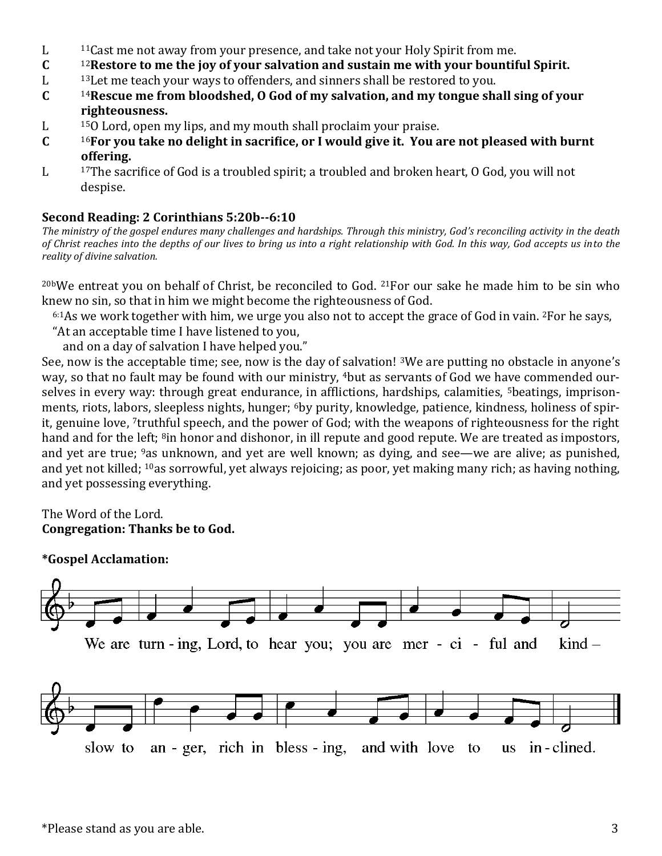- L <sup>11</sup>Cast me not away from your presence, and take not your Holy Spirit from me.
- **C** <sup>12</sup>**Restore to me the joy of your salvation and sustain me with your bountiful Spirit.**
- L <sup>13</sup>Let me teach your ways to offenders, and sinners shall be restored to you.
- **C** <sup>14</sup>**Rescue me from bloodshed, O God of my salvation, and my tongue shall sing of your righteousness.**
- L <sup>15</sup>O Lord, open my lips, and my mouth shall proclaim your praise.
- **C** <sup>16</sup>**For you take no delight in sacrifice, or I would give it. You are not pleased with burnt offering.**
- L <sup>17</sup>The sacrifice of God is a troubled spirit; a troubled and broken heart, O God, you will not despise.

### **Second Reading: 2 Corinthians 5:20b--6:10**

*The ministry of the gospel endures many challenges and hardships. Through this ministry, God's reconciling activity in the death of Christ reaches into the depths of our lives to bring us into a right relationship with God. In this way, God accepts us into the reality of divine salvation.*

20bWe entreat you on behalf of Christ, be reconciled to God. 21For our sake he made him to be sin who knew no sin, so that in him we might become the righteousness of God.

 $6:1$ As we work together with him, we urge you also not to accept the grace of God in vain.  $2$ For he says,

"At an acceptable time I have listened to you,

and on a day of salvation I have helped you."

See, now is the acceptable time; see, now is the day of salvation! <sup>3</sup>We are putting no obstacle in anyone's way, so that no fault may be found with our ministry, <sup>4</sup>but as servants of God we have commended ourselves in every way: through great endurance, in afflictions, hardships, calamities, <sup>5</sup>beatings, imprisonments, riots, labors, sleepless nights, hunger; <sup>6</sup>by purity, knowledge, patience, kindness, holiness of spirit, genuine love, 7truthful speech, and the power of God; with the weapons of righteousness for the right hand and for the left; <sup>8</sup>in honor and dishonor, in ill repute and good repute. We are treated as impostors, and yet are true; <sup>9</sup>as unknown, and yet are well known; as dying, and see—we are alive; as punished, and yet not killed; <sup>10</sup>as sorrowful, yet always rejoicing; as poor, yet making many rich; as having nothing, and yet possessing everything.

#### The Word of the Lord. **Congregation: Thanks be to God.**

#### **\*Gospel Acclamation:**

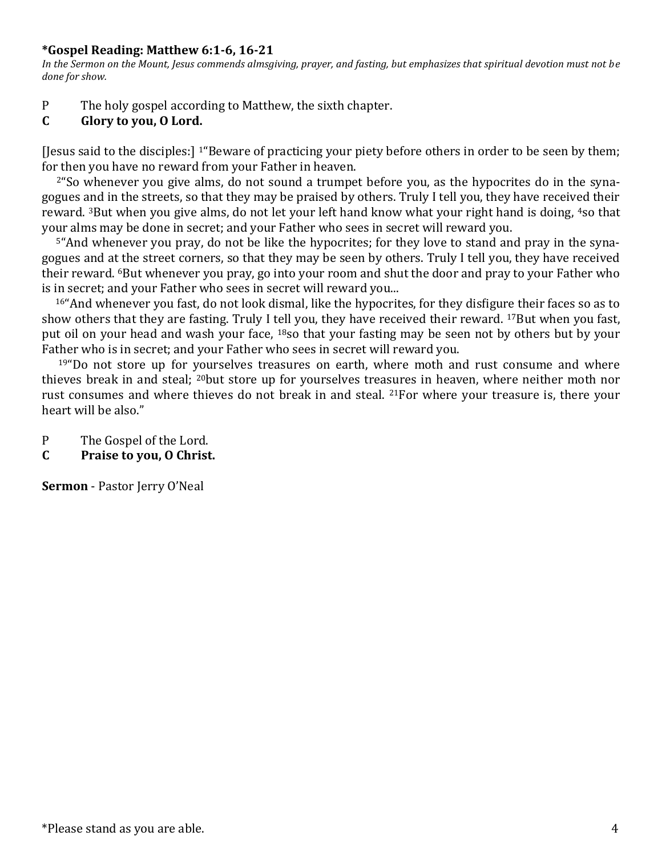#### **\*Gospel Reading: Matthew 6:1-6, 16-21**

*In the Sermon on the Mount, Jesus commends almsgiving, prayer, and fasting, but emphasizes that spiritual devotion must not be done for show.*

- P The holy gospel according to Matthew, the sixth chapter.
- **C Glory to you, O Lord.**

[Jesus said to the disciples:] 1"Beware of practicing your piety before others in order to be seen by them; for then you have no reward from your Father in heaven.

2"So whenever you give alms, do not sound a trumpet before you, as the hypocrites do in the synagogues and in the streets, so that they may be praised by others. Truly I tell you, they have received their reward. <sup>3</sup>But when you give alms, do not let your left hand know what your right hand is doing, <sup>4</sup>so that your alms may be done in secret; and your Father who sees in secret will reward you.

5"And whenever you pray, do not be like the hypocrites; for they love to stand and pray in the synagogues and at the street corners, so that they may be seen by others. Truly I tell you, they have received their reward. 6But whenever you pray, go into your room and shut the door and pray to your Father who is in secret; and your Father who sees in secret will reward you...

<sup>16</sup>"And whenever you fast, do not look dismal, like the hypocrites, for they disfigure their faces so as to show others that they are fasting. Truly I tell you, they have received their reward. <sup>17</sup>But when you fast, put oil on your head and wash your face, <sup>18</sup>so that your fasting may be seen not by others but by your Father who is in secret; and your Father who sees in secret will reward you.

 $19"$ Do not store up for yourselves treasures on earth, where moth and rust consume and where thieves break in and steal; <sup>20</sup>but store up for yourselves treasures in heaven, where neither moth nor rust consumes and where thieves do not break in and steal. 21For where your treasure is, there your heart will be also."

P The Gospel of the Lord.

**C Praise to you, O Christ.**

**Sermon** - Pastor Jerry O'Neal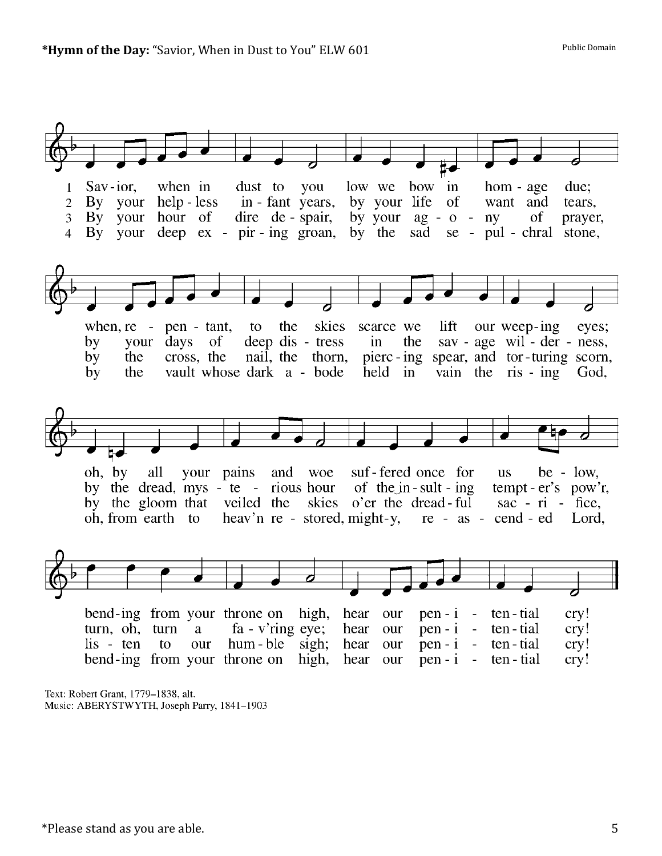

Text: Robert Grant, 1779–1838, alt. Music: ABERYSTWYTH, Joseph Parry, 1841-1903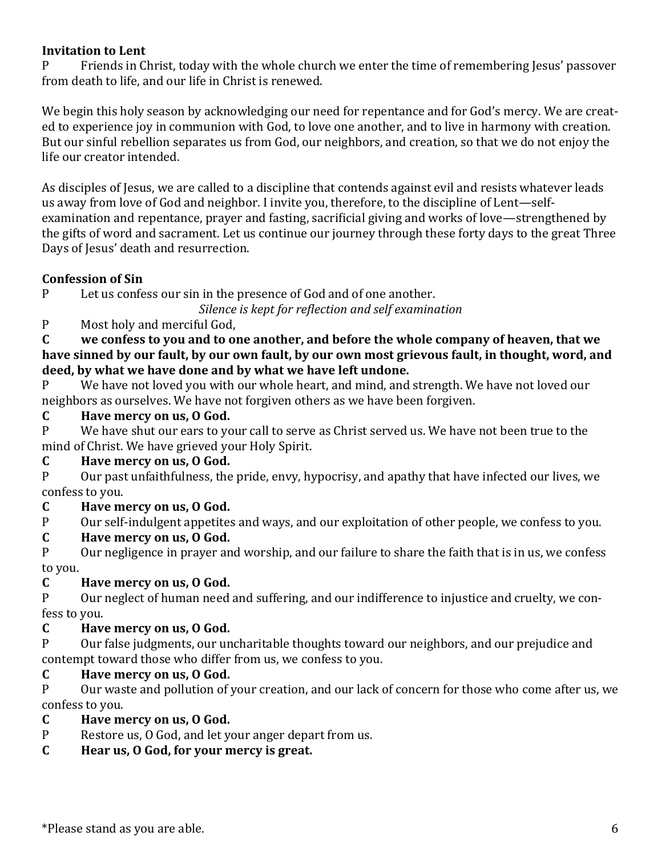## **Invitation to Lent**

P Friends in Christ, today with the whole church we enter the time of remembering Jesus' passover from death to life, and our life in Christ is renewed.

We begin this holy season by acknowledging our need for repentance and for God's mercy. We are created to experience joy in communion with God, to love one another, and to live in harmony with creation. But our sinful rebellion separates us from God, our neighbors, and creation, so that we do not enjoy the life our creator intended.

As disciples of Jesus, we are called to a discipline that contends against evil and resists whatever leads us away from love of God and neighbor. I invite you, therefore, to the discipline of Lent—selfexamination and repentance, prayer and fasting, sacrificial giving and works of love—strengthened by the gifts of word and sacrament. Let us continue our journey through these forty days to the great Three Days of Jesus' death and resurrection.

## **Confession of Sin**

P Let us confess our sin in the presence of God and of one another.

*Silence is kept for reflection and self examination*

## P Most holy and merciful God,

**C we confess to you and to one another, and before the whole company of heaven, that we have sinned by our fault, by our own fault, by our own most grievous fault, in thought, word, and deed, by what we have done and by what we have left undone.**

P We have not loved you with our whole heart, and mind, and strength. We have not loved our neighbors as ourselves. We have not forgiven others as we have been forgiven.

## **C Have mercy on us, O God.**

P We have shut our ears to your call to serve as Christ served us. We have not been true to the mind of Christ. We have grieved your Holy Spirit.

### **C Have mercy on us, O God.**

P Our past unfaithfulness, the pride, envy, hypocrisy, and apathy that have infected our lives, we confess to you.

## **C Have mercy on us, O God.**

P Our self-indulgent appetites and ways, and our exploitation of other people, we confess to you.

### **C Have mercy on us, O God.**

P Our negligence in prayer and worship, and our failure to share the faith that is in us, we confess to you.

## **C Have mercy on us, O God.**

P Our neglect of human need and suffering, and our indifference to injustice and cruelty, we confess to you.

### **C Have mercy on us, O God.**

P Our false judgments, our uncharitable thoughts toward our neighbors, and our prejudice and contempt toward those who differ from us, we confess to you.

## **C Have mercy on us, O God.**

P Our waste and pollution of your creation, and our lack of concern for those who come after us, we confess to you.

### **C Have mercy on us, O God.**

P Restore us, O God, and let your anger depart from us.

### **C Hear us, O God, for your mercy is great.**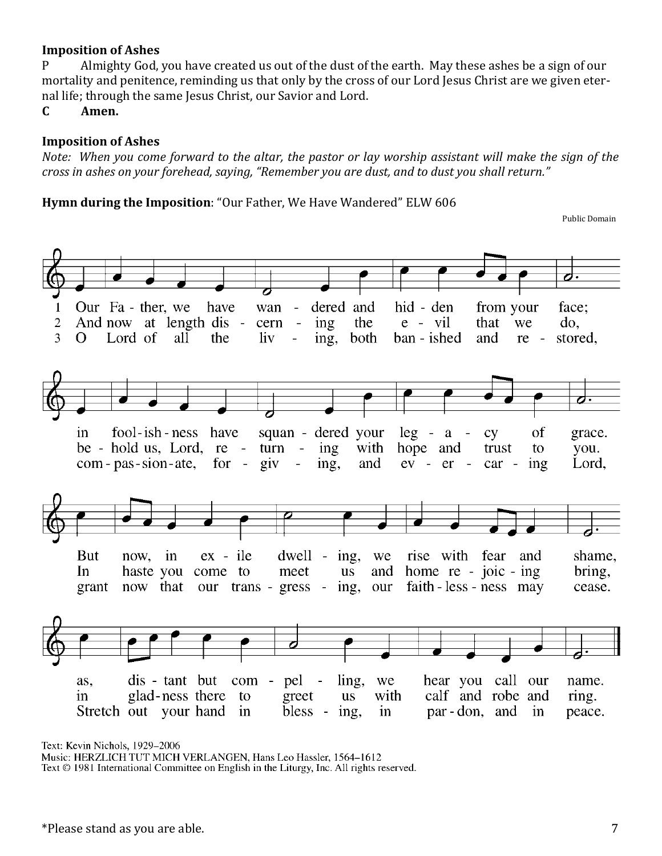#### **Imposition of Ashes**

P Almighty God, you have created us out of the dust of the earth. May these ashes be a sign of our mortality and penitence, reminding us that only by the cross of our Lord Jesus Christ are we given eternal life; through the same Jesus Christ, our Savior and Lord.

**C Amen.**

#### **Imposition of Ashes**

*Note: When you come forward to the altar, the pastor or lay worship assistant will make the sign of the cross in ashes on your forehead, saying, "Remember you are dust, and to dust you shall return."* 

**Hymn during the Imposition**: "Our Father, We Have Wandered" ELW 606

Public Domain



Text: Kevin Nichols, 1929-2006

Music: HERZLICH TUT MICH VERLANGEN, Hans Leo Hassler, 1564-1612

Text © 1981 International Committee on English in the Liturgy, Inc. All rights reserved.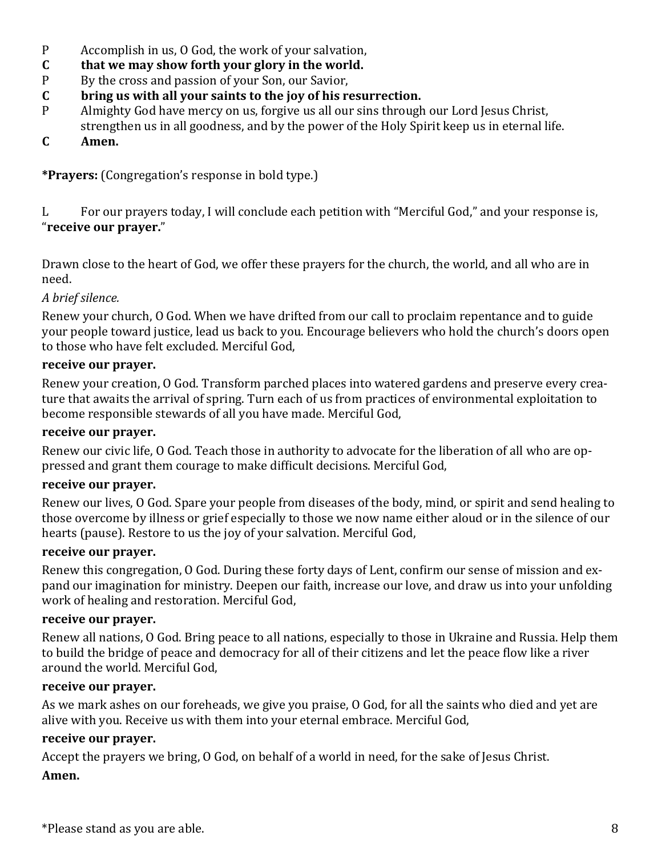- P Accomplish in us, O God, the work of your salvation,
- **C that we may show forth your glory in the world.**
- P By the cross and passion of your Son, our Savior,
- **C bring us with all your saints to the joy of his resurrection.**
- P Almighty God have mercy on us, forgive us all our sins through our Lord Jesus Christ, strengthen us in all goodness, and by the power of the Holy Spirit keep us in eternal life.
- **C Amen.**

**\*Prayers:** (Congregation's response in bold type.)

L For our prayers today, I will conclude each petition with "Merciful God," and your response is, "**receive our prayer.**"

Drawn close to the heart of God, we offer these prayers for the church, the world, and all who are in need.

## *A brief silence.*

Renew your church, O God. When we have drifted from our call to proclaim repentance and to guide your people toward justice, lead us back to you. Encourage believers who hold the church's doors open to those who have felt excluded. Merciful God,

### **receive our prayer.**

Renew your creation, O God. Transform parched places into watered gardens and preserve every creature that awaits the arrival of spring. Turn each of us from practices of environmental exploitation to become responsible stewards of all you have made. Merciful God,

#### **receive our prayer.**

Renew our civic life, O God. Teach those in authority to advocate for the liberation of all who are oppressed and grant them courage to make difficult decisions. Merciful God,

### **receive our prayer.**

Renew our lives, O God. Spare your people from diseases of the body, mind, or spirit and send healing to those overcome by illness or grief especially to those we now name either aloud or in the silence of our hearts (pause). Restore to us the joy of your salvation. Merciful God,

#### **receive our prayer.**

Renew this congregation, O God. During these forty days of Lent, confirm our sense of mission and expand our imagination for ministry. Deepen our faith, increase our love, and draw us into your unfolding work of healing and restoration. Merciful God,

#### **receive our prayer.**

Renew all nations, O God. Bring peace to all nations, especially to those in Ukraine and Russia. Help them to build the bridge of peace and democracy for all of their citizens and let the peace flow like a river around the world. Merciful God,

#### **receive our prayer.**

As we mark ashes on our foreheads, we give you praise, O God, for all the saints who died and yet are alive with you. Receive us with them into your eternal embrace. Merciful God,

### **receive our prayer.**

Accept the prayers we bring, O God, on behalf of a world in need, for the sake of Jesus Christ. **Amen.**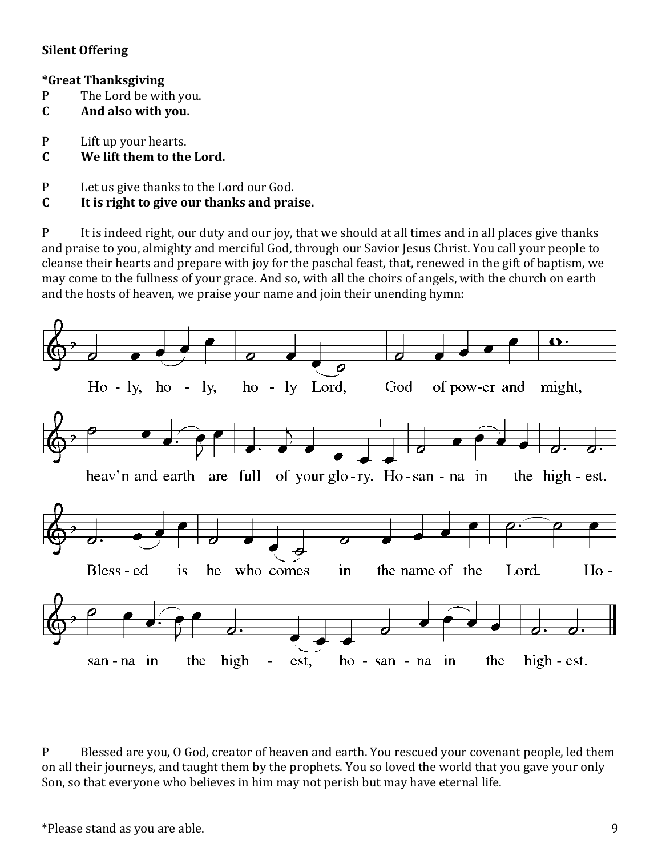### **Silent Offering**

### **\*Great Thanksgiving**

- P The Lord be with you.
- **C And also with you.**
- P Lift up your hearts.

## **C We lift them to the Lord.**

- P Let us give thanks to the Lord our God.
- **C It is right to give our thanks and praise.**

P It is indeed right, our duty and our joy, that we should at all times and in all places give thanks and praise to you, almighty and merciful God, through our Savior Jesus Christ. You call your people to cleanse their hearts and prepare with joy for the paschal feast, that, renewed in the gift of baptism, we may come to the fullness of your grace. And so, with all the choirs of angels, with the church on earth and the hosts of heaven, we praise your name and join their unending hymn:



P Blessed are you, O God, creator of heaven and earth. You rescued your covenant people, led them on all their journeys, and taught them by the prophets. You so loved the world that you gave your only Son, so that everyone who believes in him may not perish but may have eternal life.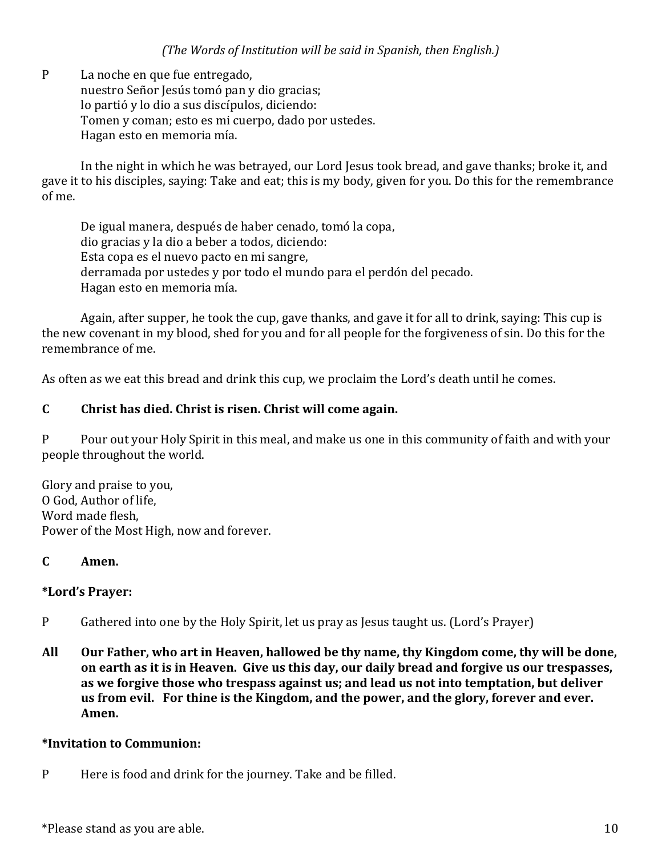P La noche en que fue entregado, nuestro Señor Jesús tomó pan y dio gracias; lo partió y lo dio a sus discípulos, diciendo: Tomen y coman; esto es mi cuerpo, dado por ustedes. Hagan esto en memoria mía.

In the night in which he was betrayed, our Lord Jesus took bread, and gave thanks; broke it, and gave it to his disciples, saying: Take and eat; this is my body, given for you. Do this for the remembrance of me.

De igual manera, después de haber cenado, tomó la copa, dio gracias y la dio a beber a todos, diciendo: Esta copa es el nuevo pacto en mi sangre, derramada por ustedes y por todo el mundo para el perdón del pecado. Hagan esto en memoria mía.

Again, after supper, he took the cup, gave thanks, and gave it for all to drink, saying: This cup is the new covenant in my blood, shed for you and for all people for the forgiveness of sin. Do this for the remembrance of me.

As often as we eat this bread and drink this cup, we proclaim the Lord's death until he comes.

## **C Christ has died. Christ is risen. Christ will come again.**

P Pour out your Holy Spirit in this meal, and make us one in this community of faith and with your people throughout the world.

Glory and praise to you, O God, Author of life, Word made flesh, Power of the Most High, now and forever.

## **C Amen.**

### **\*Lord's Prayer:**

- P Gathered into one by the Holy Spirit, let us pray as Jesus taught us. (Lord's Prayer)
- **All Our Father, who art in Heaven, hallowed be thy name, thy Kingdom come, thy will be done, on earth as it is in Heaven. Give us this day, our daily bread and forgive us our trespasses, as we forgive those who trespass against us; and lead us not into temptation, but deliver us from evil. For thine is the Kingdom, and the power, and the glory, forever and ever. Amen.**

### **\*Invitation to Communion:**

P Here is food and drink for the journey. Take and be filled.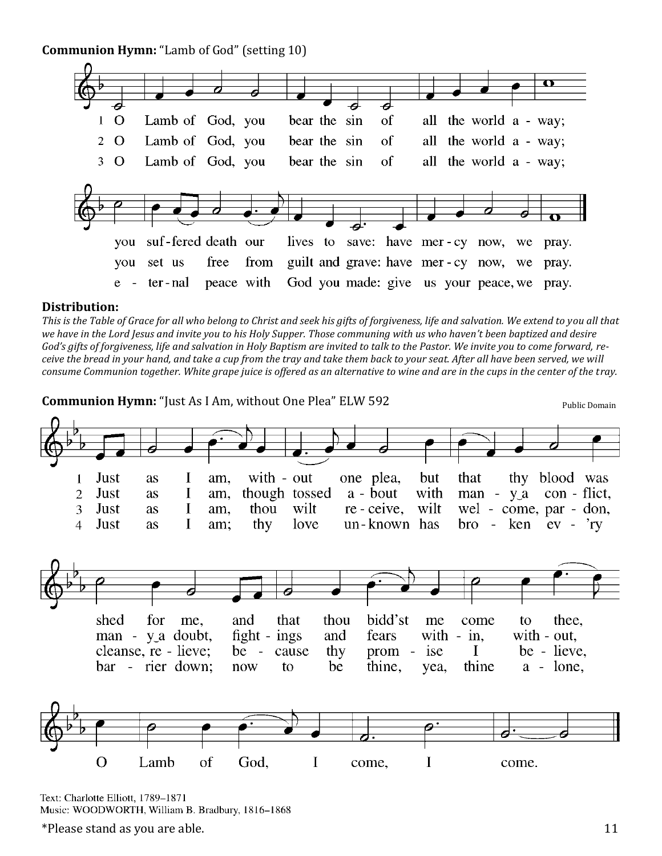**Communion Hymn:** "Lamb of God" (setting 10)



#### **Distribution:**

*This is the Table of Grace for all who belong to Christ and seek his gifts of forgiveness, life and salvation. We extend to you all that we have in the Lord Jesus and invite you to his Holy Supper. Those communing with us who haven't been baptized and desire God's gifts of forgiveness, life and salvation in Holy Baptism are invited to talk to the Pastor. We invite you to come forward, receive the bread in your hand, and take a cup from the tray and take them back to your seat. After all have been served, we will consume Communion together. White grape juice is offered as an alternative to wine and are in the cups in the center of the tray.*

**Communion Hymn:** "Just As I Am, without One Plea" ELW 592



Text: Charlotte Elliott, 1789-1871 Music: WOODWORTH, William B. Bradbury, 1816-1868

 $*$ Please stand as you are able.  $11$ 

Public Domain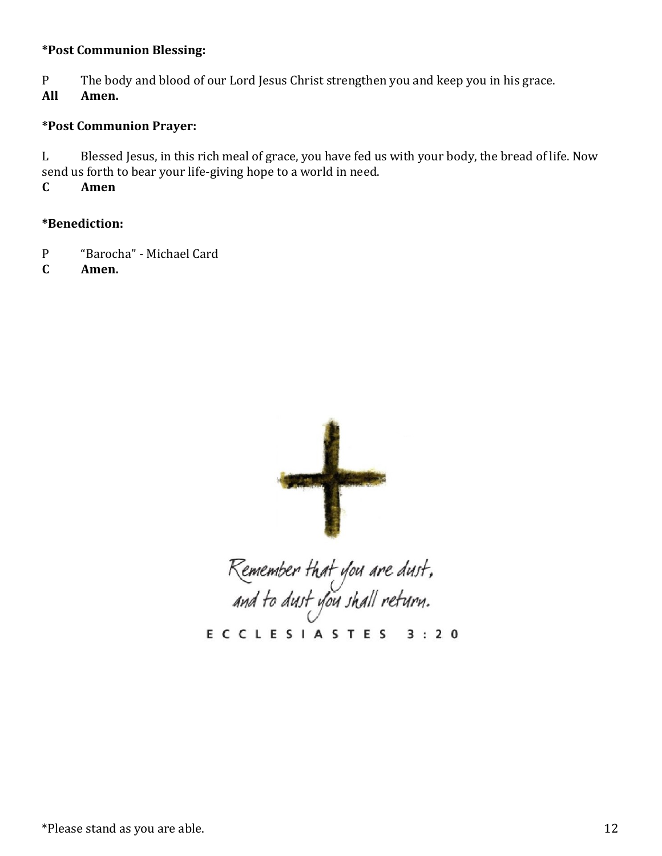### **\*Post Communion Blessing:**

P The body and blood of our Lord Jesus Christ strengthen you and keep you in his grace.

**All Amen.**

#### **\*Post Communion Prayer:**

L Blessed Jesus, in this rich meal of grace, you have fed us with your body, the bread of life. Now send us forth to bear your life-giving hope to a world in need.

**C Amen**

#### **\*Benediction:**

- P "Barocha" Michael Card
- **C Amen.**



Remember that you are dust,<br>and to dust you shall return.

**ECCLESIASTES**  $3:20$